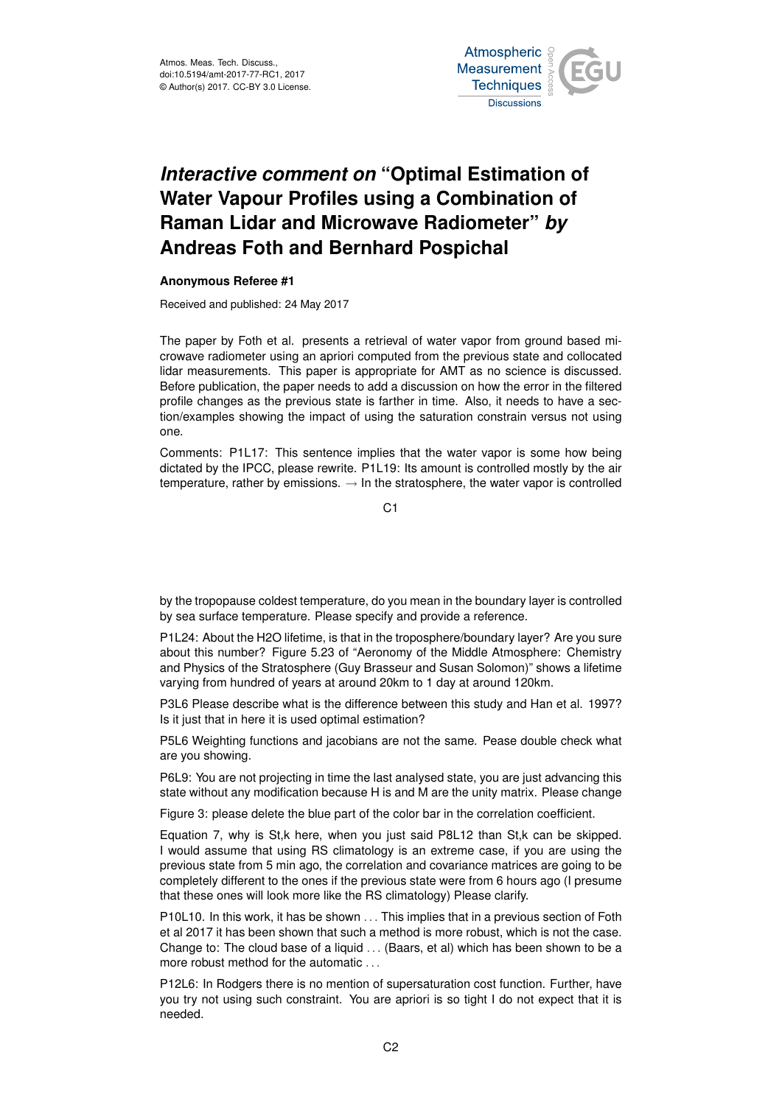

## *Interactive comment on* **"Optimal Estimation of Water Vapour Profiles using a Combination of Raman Lidar and Microwave Radiometer"** *by* **Andreas Foth and Bernhard Pospichal**

## **Anonymous Referee #1**

Received and published: 24 May 2017

The paper by Foth et al. presents a retrieval of water vapor from ground based microwave radiometer using an apriori computed from the previous state and collocated lidar measurements. This paper is appropriate for AMT as no science is discussed. Before publication, the paper needs to add a discussion on how the error in the filtered profile changes as the previous state is farther in time. Also, it needs to have a section/examples showing the impact of using the saturation constrain versus not using one.

Comments: P1L17: This sentence implies that the water vapor is some how being dictated by the IPCC, please rewrite. P1L19: Its amount is controlled mostly by the air temperature, rather by emissions.  $\rightarrow$  In the stratosphere, the water vapor is controlled

 $C<sub>1</sub>$ 

by the tropopause coldest temperature, do you mean in the boundary layer is controlled by sea surface temperature. Please specify and provide a reference.

P1L24: About the H2O lifetime, is that in the troposphere/boundary layer? Are you sure about this number? Figure 5.23 of "Aeronomy of the Middle Atmosphere: Chemistry and Physics of the Stratosphere (Guy Brasseur and Susan Solomon)" shows a lifetime varying from hundred of years at around 20km to 1 day at around 120km.

P3L6 Please describe what is the difference between this study and Han et al. 1997? Is it just that in here it is used optimal estimation?

P5L6 Weighting functions and jacobians are not the same. Pease double check what are you showing.

P6L9: You are not projecting in time the last analysed state, you are just advancing this state without any modification because H is and M are the unity matrix. Please change

Figure 3: please delete the blue part of the color bar in the correlation coefficient.

Equation 7, why is St,k here, when you just said P8L12 than St,k can be skipped. I would assume that using RS climatology is an extreme case, if you are using the previous state from 5 min ago, the correlation and covariance matrices are going to be completely different to the ones if the previous state were from 6 hours ago (I presume that these ones will look more like the RS climatology) Please clarify.

P10L10. In this work, it has be shown . . . This implies that in a previous section of Foth et al 2017 it has been shown that such a method is more robust, which is not the case. Change to: The cloud base of a liquid . . . (Baars, et al) which has been shown to be a more robust method for the automatic . . .

P12L6: In Rodgers there is no mention of supersaturation cost function. Further, have you try not using such constraint. You are apriori is so tight I do not expect that it is needed.